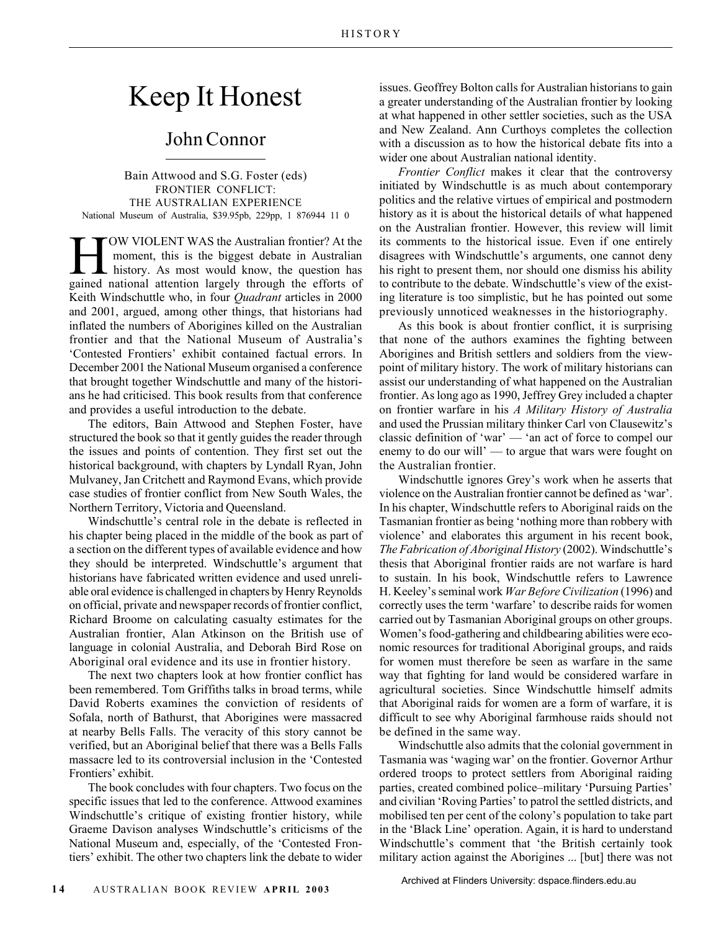## Keep It Honest

## John Connor

Bain Attwood and S.G. Foster (eds) FRONTIER CONFLICT: THE AUSTRALIAN EXPERIENCE National Museum of Australia, \$39.95pb, 229pp, 1 876944 11 0

TOW VIOLENT WAS the Australian frontier? At the<br>moment, this is the biggest debate in Australian<br>history. As most would know, the question has moment, this is the biggest debate in Australian history. As most would know, the question has gained national attention largely through the efforts of Keith Windschuttle who, in four *Quadrant* articles in 2000 and 2001, argued, among other things, that historians had inflated the numbers of Aborigines killed on the Australian frontier and that the National Museum of Australia's 'Contested Frontiers' exhibit contained factual errors. In December 2001 the National Museum organised a conference that brought together Windschuttle and many of the historians he had criticised. This book results from that conference and provides a useful introduction to the debate.

The editors, Bain Attwood and Stephen Foster, have structured the book so that it gently guides the reader through the issues and points of contention. They first set out the historical background, with chapters by Lyndall Ryan, John Mulvaney, Jan Critchett and Raymond Evans, which provide case studies of frontier conflict from New South Wales, the Northern Territory, Victoria and Queensland.

Windschuttle's central role in the debate is reflected in his chapter being placed in the middle of the book as part of a section on the different types of available evidence and how they should be interpreted. Windschuttle's argument that historians have fabricated written evidence and used unreliable oral evidence is challenged in chapters by Henry Reynolds on official, private and newspaper records of frontier conflict, Richard Broome on calculating casualty estimates for the Australian frontier, Alan Atkinson on the British use of language in colonial Australia, and Deborah Bird Rose on Aboriginal oral evidence and its use in frontier history.

The next two chapters look at how frontier conflict has been remembered. Tom Griffiths talks in broad terms, while David Roberts examines the conviction of residents of Sofala, north of Bathurst, that Aborigines were massacred at nearby Bells Falls. The veracity of this story cannot be verified, but an Aboriginal belief that there was a Bells Falls massacre led to its controversial inclusion in the 'Contested Frontiers' exhibit.

The book concludes with four chapters. Two focus on the specific issues that led to the conference. Attwood examines Windschuttle's critique of existing frontier history, while Graeme Davison analyses Windschuttle's criticisms of the National Museum and, especially, of the 'Contested Frontiers' exhibit. The other two chapters link the debate to wider issues. Geoffrey Bolton calls for Australian historians to gain a greater understanding of the Australian frontier by looking at what happened in other settler societies, such as the USA and New Zealand. Ann Curthoys completes the collection with a discussion as to how the historical debate fits into a wider one about Australian national identity.

*Frontier Conflict* makes it clear that the controversy initiated by Windschuttle is as much about contemporary politics and the relative virtues of empirical and postmodern history as it is about the historical details of what happened on the Australian frontier. However, this review will limit its comments to the historical issue. Even if one entirely disagrees with Windschuttle's arguments, one cannot deny his right to present them, nor should one dismiss his ability to contribute to the debate. Windschuttle's view of the existing literature is too simplistic, but he has pointed out some previously unnoticed weaknesses in the historiography.

As this book is about frontier conflict, it is surprising that none of the authors examines the fighting between Aborigines and British settlers and soldiers from the viewpoint of military history. The work of military historians can assist our understanding of what happened on the Australian frontier. As long ago as 1990, Jeffrey Grey included a chapter on frontier warfare in his *A Military History of Australia* and used the Prussian military thinker Carl von Clausewitz's classic definition of 'war' — 'an act of force to compel our enemy to do our will' — to argue that wars were fought on the Australian frontier.

Windschuttle ignores Grey's work when he asserts that violence on the Australian frontier cannot be defined as 'war'. In his chapter, Windschuttle refers to Aboriginal raids on the Tasmanian frontier as being 'nothing more than robbery with violence' and elaborates this argument in his recent book, *The Fabrication of Aboriginal History* (2002). Windschuttle's thesis that Aboriginal frontier raids are not warfare is hard to sustain. In his book, Windschuttle refers to Lawrence H. Keeley's seminal work *War Before Civilization* (1996) and correctly uses the term 'warfare' to describe raids for women carried out by Tasmanian Aboriginal groups on other groups. Women's food-gathering and childbearing abilities were economic resources for traditional Aboriginal groups, and raids for women must therefore be seen as warfare in the same way that fighting for land would be considered warfare in agricultural societies. Since Windschuttle himself admits that Aboriginal raids for women are a form of warfare, it is difficult to see why Aboriginal farmhouse raids should not be defined in the same way.

Windschuttle also admits that the colonial government in Tasmania was 'waging war' on the frontier. Governor Arthur ordered troops to protect settlers from Aboriginal raiding parties, created combined police–military 'Pursuing Parties' and civilian 'Roving Parties' to patrol the settled districts, and mobilised ten per cent of the colony's population to take part in the 'Black Line' operation. Again, it is hard to understand Windschuttle's comment that 'the British certainly took military action against the Aborigines ... [but] there was not